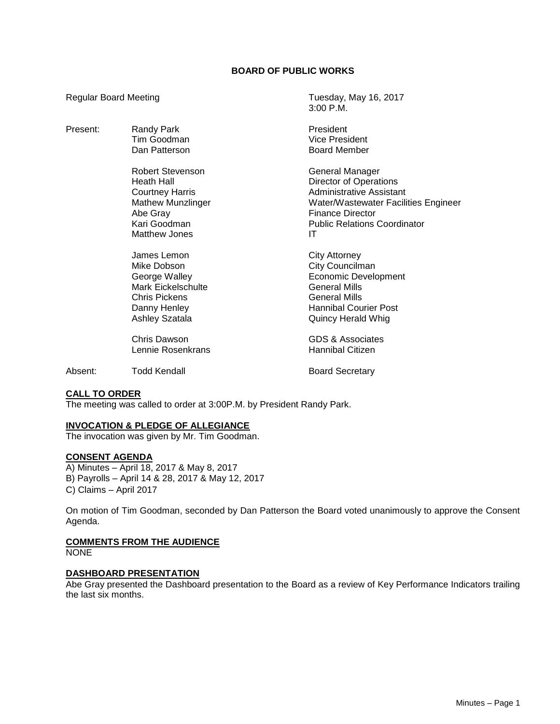# **BOARD OF PUBLIC WORKS**

3:00 P.M.

Regular Board Meeting Tuesday, May 16, 2017

| Present: | Randy Park<br>Tim Goodman<br>Dan Patterson                                                                                        | President<br><b>Vice President</b><br><b>Board Member</b>                                                                                                                                    |
|----------|-----------------------------------------------------------------------------------------------------------------------------------|----------------------------------------------------------------------------------------------------------------------------------------------------------------------------------------------|
|          | Robert Stevenson<br>Heath Hall<br><b>Courtney Harris</b><br><b>Mathew Munzlinger</b><br>Abe Gray<br>Kari Goodman<br>Matthew Jones | General Manager<br><b>Director of Operations</b><br>Administrative Assistant<br>Water/Wastewater Facilities Engineer<br><b>Finance Director</b><br><b>Public Relations Coordinator</b><br>IT |
|          | James Lemon<br>Mike Dobson<br>George Walley<br>Mark Eickelschulte<br>Chris Pickens<br>Danny Henley<br><b>Ashley Szatala</b>       | <b>City Attorney</b><br>City Councilman<br><b>Economic Development</b><br><b>General Mills</b><br>General Mills<br><b>Hannibal Courier Post</b><br>Quincy Herald Whig                        |
|          | Chris Dawson<br>Lennie Rosenkrans                                                                                                 | GDS & Associates<br>Hannibal Citizen                                                                                                                                                         |
| Absent:  | Todd Kendall                                                                                                                      | <b>Board Secretary</b>                                                                                                                                                                       |

# **CALL TO ORDER**

The meeting was called to order at 3:00P.M. by President Randy Park.

## **INVOCATION & PLEDGE OF ALLEGIANCE**

The invocation was given by Mr. Tim Goodman.

# **CONSENT AGENDA**

A) Minutes – April 18, 2017 & May 8, 2017 B) Payrolls – April 14 & 28, 2017 & May 12, 2017 C) Claims – April 2017

On motion of Tim Goodman, seconded by Dan Patterson the Board voted unanimously to approve the Consent Agenda.

#### **COMMENTS FROM THE AUDIENCE**

NONE

## **DASHBOARD PRESENTATION**

Abe Gray presented the Dashboard presentation to the Board as a review of Key Performance Indicators trailing the last six months.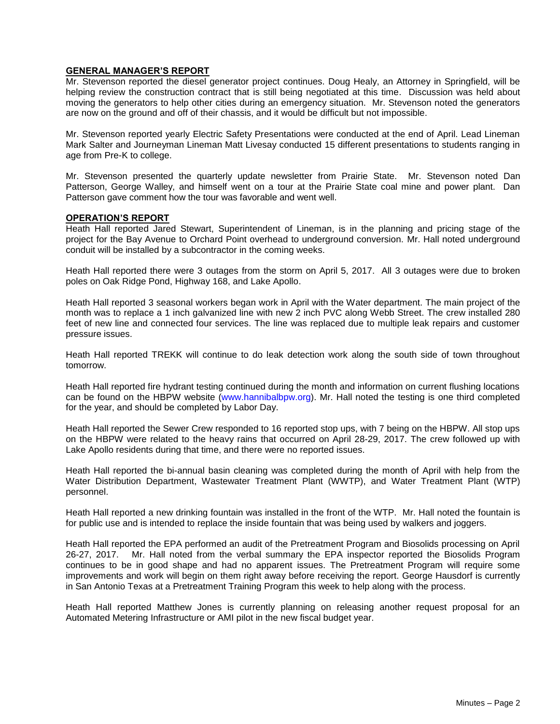## **GENERAL MANAGER'S REPORT**

Mr. Stevenson reported the diesel generator project continues. Doug Healy, an Attorney in Springfield, will be helping review the construction contract that is still being negotiated at this time. Discussion was held about moving the generators to help other cities during an emergency situation. Mr. Stevenson noted the generators are now on the ground and off of their chassis, and it would be difficult but not impossible.

Mr. Stevenson reported yearly Electric Safety Presentations were conducted at the end of April. Lead Lineman Mark Salter and Journeyman Lineman Matt Livesay conducted 15 different presentations to students ranging in age from Pre-K to college.

Mr. Stevenson presented the quarterly update newsletter from Prairie State. Mr. Stevenson noted Dan Patterson, George Walley, and himself went on a tour at the Prairie State coal mine and power plant. Dan Patterson gave comment how the tour was favorable and went well.

## **OPERATION'S REPORT**

Heath Hall reported Jared Stewart, Superintendent of Lineman, is in the planning and pricing stage of the project for the Bay Avenue to Orchard Point overhead to underground conversion. Mr. Hall noted underground conduit will be installed by a subcontractor in the coming weeks.

Heath Hall reported there were 3 outages from the storm on April 5, 2017. All 3 outages were due to broken poles on Oak Ridge Pond, Highway 168, and Lake Apollo.

Heath Hall reported 3 seasonal workers began work in April with the Water department. The main project of the month was to replace a 1 inch galvanized line with new 2 inch PVC along Webb Street. The crew installed 280 feet of new line and connected four services. The line was replaced due to multiple leak repairs and customer pressure issues.

Heath Hall reported TREKK will continue to do leak detection work along the south side of town throughout tomorrow.

Heath Hall reported fire hydrant testing continued during the month and information on current flushing locations can be found on the HBPW website (www.hannibalbpw.org). Mr. Hall noted the testing is one third completed for the year, and should be completed by Labor Day.

Heath Hall reported the Sewer Crew responded to 16 reported stop ups, with 7 being on the HBPW. All stop ups on the HBPW were related to the heavy rains that occurred on April 28-29, 2017. The crew followed up with Lake Apollo residents during that time, and there were no reported issues.

Heath Hall reported the bi-annual basin cleaning was completed during the month of April with help from the Water Distribution Department, Wastewater Treatment Plant (WWTP), and Water Treatment Plant (WTP) personnel.

Heath Hall reported a new drinking fountain was installed in the front of the WTP. Mr. Hall noted the fountain is for public use and is intended to replace the inside fountain that was being used by walkers and joggers.

Heath Hall reported the EPA performed an audit of the Pretreatment Program and Biosolids processing on April 26-27, 2017. Mr. Hall noted from the verbal summary the EPA inspector reported the Biosolids Program continues to be in good shape and had no apparent issues. The Pretreatment Program will require some improvements and work will begin on them right away before receiving the report. George Hausdorf is currently in San Antonio Texas at a Pretreatment Training Program this week to help along with the process.

Heath Hall reported Matthew Jones is currently planning on releasing another request proposal for an Automated Metering Infrastructure or AMI pilot in the new fiscal budget year.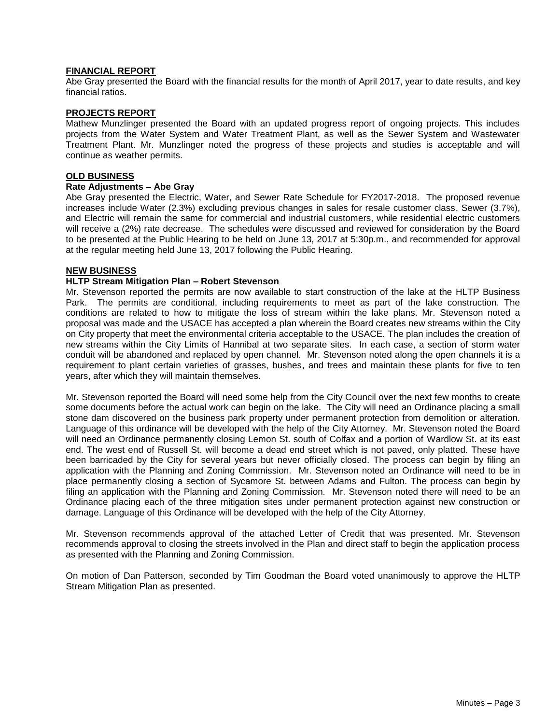## **FINANCIAL REPORT**

Abe Gray presented the Board with the financial results for the month of April 2017, year to date results, and key financial ratios.

## **PROJECTS REPORT**

Mathew Munzlinger presented the Board with an updated progress report of ongoing projects. This includes projects from the Water System and Water Treatment Plant, as well as the Sewer System and Wastewater Treatment Plant. Mr. Munzlinger noted the progress of these projects and studies is acceptable and will continue as weather permits.

#### **OLD BUSINESS**

#### **Rate Adjustments – Abe Gray**

Abe Gray presented the Electric, Water, and Sewer Rate Schedule for FY2017-2018. The proposed revenue increases include Water (2.3%) excluding previous changes in sales for resale customer class, Sewer (3.7%), and Electric will remain the same for commercial and industrial customers, while residential electric customers will receive a (2%) rate decrease. The schedules were discussed and reviewed for consideration by the Board to be presented at the Public Hearing to be held on June 13, 2017 at 5:30p.m., and recommended for approval at the regular meeting held June 13, 2017 following the Public Hearing.

## **NEW BUSINESS**

## **HLTP Stream Mitigation Plan – Robert Stevenson**

Mr. Stevenson reported the permits are now available to start construction of the lake at the HLTP Business Park. The permits are conditional, including requirements to meet as part of the lake construction. The conditions are related to how to mitigate the loss of stream within the lake plans. Mr. Stevenson noted a proposal was made and the USACE has accepted a plan wherein the Board creates new streams within the City on City property that meet the environmental criteria acceptable to the USACE. The plan includes the creation of new streams within the City Limits of Hannibal at two separate sites. In each case, a section of storm water conduit will be abandoned and replaced by open channel. Mr. Stevenson noted along the open channels it is a requirement to plant certain varieties of grasses, bushes, and trees and maintain these plants for five to ten years, after which they will maintain themselves.

Mr. Stevenson reported the Board will need some help from the City Council over the next few months to create some documents before the actual work can begin on the lake. The City will need an Ordinance placing a small stone dam discovered on the business park property under permanent protection from demolition or alteration. Language of this ordinance will be developed with the help of the City Attorney. Mr. Stevenson noted the Board will need an Ordinance permanently closing Lemon St. south of Colfax and a portion of Wardlow St. at its east end. The west end of Russell St. will become a dead end street which is not paved, only platted. These have been barricaded by the City for several years but never officially closed. The process can begin by filing an application with the Planning and Zoning Commission. Mr. Stevenson noted an Ordinance will need to be in place permanently closing a section of Sycamore St. between Adams and Fulton. The process can begin by filing an application with the Planning and Zoning Commission. Mr. Stevenson noted there will need to be an Ordinance placing each of the three mitigation sites under permanent protection against new construction or damage. Language of this Ordinance will be developed with the help of the City Attorney.

Mr. Stevenson recommends approval of the attached Letter of Credit that was presented. Mr. Stevenson recommends approval to closing the streets involved in the Plan and direct staff to begin the application process as presented with the Planning and Zoning Commission.

On motion of Dan Patterson, seconded by Tim Goodman the Board voted unanimously to approve the HLTP Stream Mitigation Plan as presented.